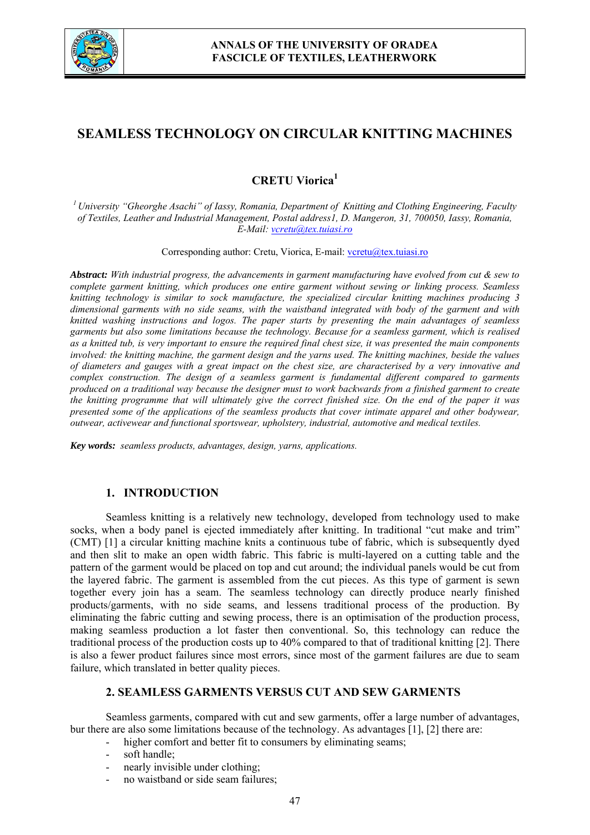

# **SEAMLESS TECHNOLOGY ON CIRCULAR KNITTING MACHINES**

# **CRETU Viorica<sup>1</sup>**

*1 University "Gheorghe Asachi" of Iassy, Romania, Department of Knitting and Clothing Engineering, Faculty of Textiles, Leather and Industrial Management, Postal address1, D. Mangeron, 31, 700050, Iassy, Romania, E-Mail: vcretu@tex.tuiasi.ro*

Corresponding author: Cretu, Viorica, E-mail: vcretu@tex.tuiasi.ro

*Abstract: With industrial progress, the advancements in garment manufacturing have evolved from cut & sew to complete garment knitting, which produces one entire garment without sewing or linking process. Seamless knitting technology is similar to sock manufacture, the specialized circular knitting machines producing 3 dimensional garments with no side seams, with the waistband integrated with body of the garment and with knitted washing instructions and logos. The paper starts by presenting the main advantages of seamless garments but also some limitations because the technology. Because for a seamless garment, which is realised as a knitted tub, is very important to ensure the required final chest size, it was presented the main components involved: the knitting machine, the garment design and the yarns used. The knitting machines, beside the values of diameters and gauges with a great impact on the chest size, are characterised by a very innovative and complex construction. The design of a seamless garment is fundamental different compared to garments produced on a traditional way because the designer must to work backwards from a finished garment to create the knitting programme that will ultimately give the correct finished size. On the end of the paper it was presented some of the applications of the seamless products that cover intimate apparel and other bodywear, outwear, activewear and functional sportswear, upholstery, industrial, automotive and medical textiles.*

*Key words: seamless products, advantages, design, yarns, applications.*

# **1. INTRODUCTION**

Seamless knitting is a relatively new technology, developed from technology used to make socks, when a body panel is ejected immediately after knitting. In traditional "cut make and trim" (CMT) [1] a circular knitting machine knits a continuous tube of fabric, which is subsequently dyed and then slit to make an open width fabric. This fabric is multi-layered on a cutting table and the pattern of the garment would be placed on top and cut around; the individual panels would be cut from the layered fabric. The garment is assembled from the cut pieces. As this type of garment is sewn together every join has a seam. The seamless technology can directly produce nearly finished products/garments, with no side seams, and lessens traditional process of the production. By eliminating the fabric cutting and sewing process, there is an optimisation of the production process, making seamless production a lot faster then conventional. So, this technology can reduce the traditional process of the production costs up to 40% compared to that of traditional knitting [2]. There is also a fewer product failures since most errors, since most of the garment failures are due to seam failure, which translated in better quality pieces.

# **2. SEAMLESS GARMENTS VERSUS CUT AND SEW GARMENTS**

Seamless garments, compared with cut and sew garments, offer a large number of advantages, bur there are also some limitations because of the technology. As advantages [1], [2] there are:

- higher comfort and better fit to consumers by eliminating seams;
	- soft handle:
	- nearly invisible under clothing;
	- no waistband or side seam failures;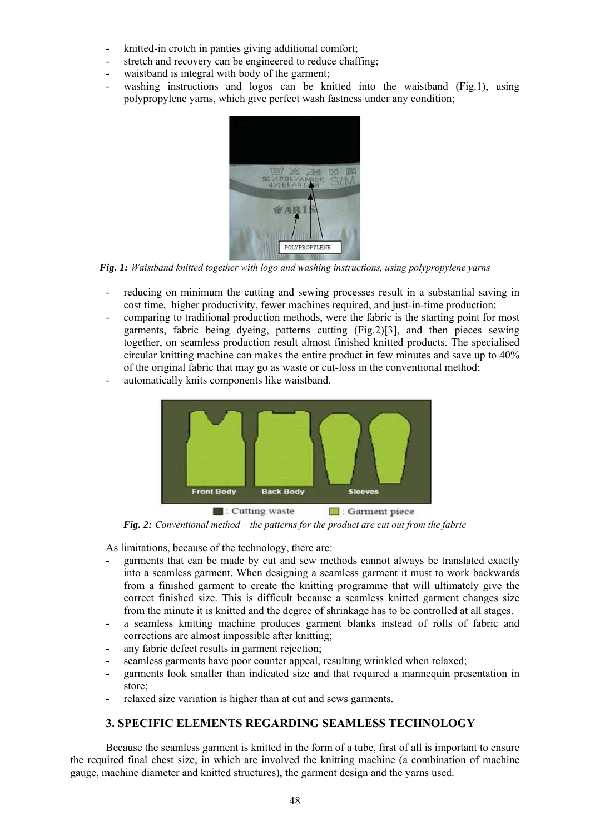- knitted-in crotch in panties giving additional comfort;
- stretch and recovery can be engineered to reduce chaffing;
- waistband is integral with body of the garment;
- washing instructions and logos can be knitted into the waistband (Fig.1), using polypropylene yarns, which give perfect wash fastness under any condition;



*Fig. 1: Waistband knitted together with logo and washing instructions, using polypropylene yarns*

- reducing on minimum the cutting and sewing processes result in a substantial saving in cost time, higher productivity, fewer machines required, and just-in-time production;
- comparing to traditional production methods, were the fabric is the starting point for most garments, fabric being dyeing, patterns cutting (Fig.2)[3], and then pieces sewing together, on seamless production result almost finished knitted products. The specialised circular knitting machine can makes the entire product in few minutes and save up to 40% of the original fabric that may go as waste or cut-loss in the conventional method;
	-

**Back Body** 

 $\Box$ : Cutting waste

automatically knits components like waistband.

Garment piece *Fig. 2: Conventional method – the patterns for the product are cut out from the fabric*

As limitations, because of the technology, there are:

**Front Body** 

garments that can be made by cut and sew methods cannot always be translated exactly into a seamless garment. When designing a seamless garment it must to work backwards from a finished garment to create the knitting programme that will ultimately give the correct finished size. This is difficult because a seamless knitted garment changes size from the minute it is knitted and the degree of shrinkage has to be controlled at all stages.

**Sleeves** 

- a seamless knitting machine produces garment blanks instead of rolls of fabric and corrections are almost impossible after knitting;
- any fabric defect results in garment rejection;
- seamless garments have poor counter appeal, resulting wrinkled when relaxed;
- garments look smaller than indicated size and that required a mannequin presentation in store;
- relaxed size variation is higher than at cut and sews garments.

# **3. SPECIFIC ELEMENTS REGARDING SEAMLESS TECHNOLOGY**

 Because the seamless garment is knitted in the form of a tube, first of all is important to ensure the required final chest size, in which are involved the knitting machine (a combination of machine gauge, machine diameter and knitted structures), the garment design and the yarns used.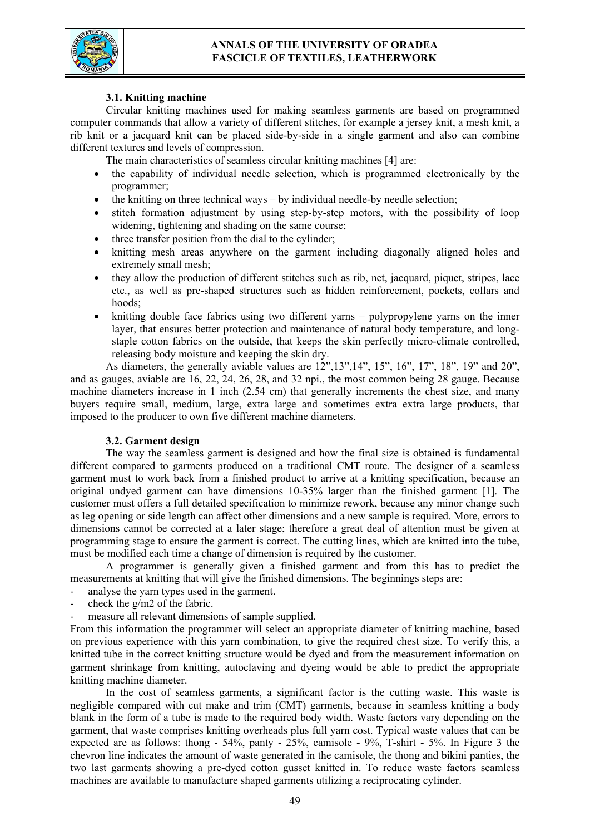



# **3.1. Knitting machine**

 Circular knitting machines used for making seamless garments are based on programmed computer commands that allow a variety of different stitches, for example a jersey knit, a mesh knit, a rib knit or a jacquard knit can be placed side-by-side in a single garment and also can combine different textures and levels of compression.

The main characteristics of seamless circular knitting machines [4] are:

- the capability of individual needle selection, which is programmed electronically by the programmer;
- the knitting on three technical ways by individual needle-by needle selection;
- stitch formation adjustment by using step-by-step motors, with the possibility of loop widening, tightening and shading on the same course;
- three transfer position from the dial to the cylinder;
- knitting mesh areas anywhere on the garment including diagonally aligned holes and extremely small mesh;
- they allow the production of different stitches such as rib, net, jacquard, piquet, stripes, lace etc., as well as pre-shaped structures such as hidden reinforcement, pockets, collars and hoods;
- knitting double face fabrics using two different yarns polypropylene yarns on the inner layer, that ensures better protection and maintenance of natural body temperature, and longstaple cotton fabrics on the outside, that keeps the skin perfectly micro-climate controlled, releasing body moisture and keeping the skin dry.

As diameters, the generally aviable values are  $12$ ",  $13$ ",  $14$ ",  $15$ ",  $16$ ",  $17$ ",  $18$ ",  $19$ " and  $20$ ", and as gauges, aviable are 16, 22, 24, 26, 28, and 32 npi., the most common being 28 gauge. Because machine diameters increase in 1 inch (2.54 cm) that generally increments the chest size, and many buyers require small, medium, large, extra large and sometimes extra extra large products, that imposed to the producer to own five different machine diameters.

# **3.2. Garment design**

The way the seamless garment is designed and how the final size is obtained is fundamental different compared to garments produced on a traditional CMT route. The designer of a seamless garment must to work back from a finished product to arrive at a knitting specification, because an original undyed garment can have dimensions 10-35% larger than the finished garment [1]. The customer must offers a full detailed specification to minimize rework, because any minor change such as leg opening or side length can affect other dimensions and a new sample is required. More, errors to dimensions cannot be corrected at a later stage; therefore a great deal of attention must be given at programming stage to ensure the garment is correct. The cutting lines, which are knitted into the tube, must be modified each time a change of dimension is required by the customer.

A programmer is generally given a finished garment and from this has to predict the measurements at knitting that will give the finished dimensions. The beginnings steps are:

- analyse the yarn types used in the garment.
- check the g/m2 of the fabric.
- measure all relevant dimensions of sample supplied.

From this information the programmer will select an appropriate diameter of knitting machine, based on previous experience with this yarn combination, to give the required chest size. To verify this, a knitted tube in the correct knitting structure would be dyed and from the measurement information on garment shrinkage from knitting, autoclaving and dyeing would be able to predict the appropriate knitting machine diameter.

In the cost of seamless garments, a significant factor is the cutting waste. This waste is negligible compared with cut make and trim (CMT) garments, because in seamless knitting a body blank in the form of a tube is made to the required body width. Waste factors vary depending on the garment, that waste comprises knitting overheads plus full yarn cost. Typical waste values that can be expected are as follows: thong  $-54\%$ , panty  $-25\%$ , camisole  $-9\%$ , T-shirt  $-5\%$ . In Figure 3 the chevron line indicates the amount of waste generated in the camisole, the thong and bikini panties, the two last garments showing a pre-dyed cotton gusset knitted in. To reduce waste factors seamless machines are available to manufacture shaped garments utilizing a reciprocating cylinder.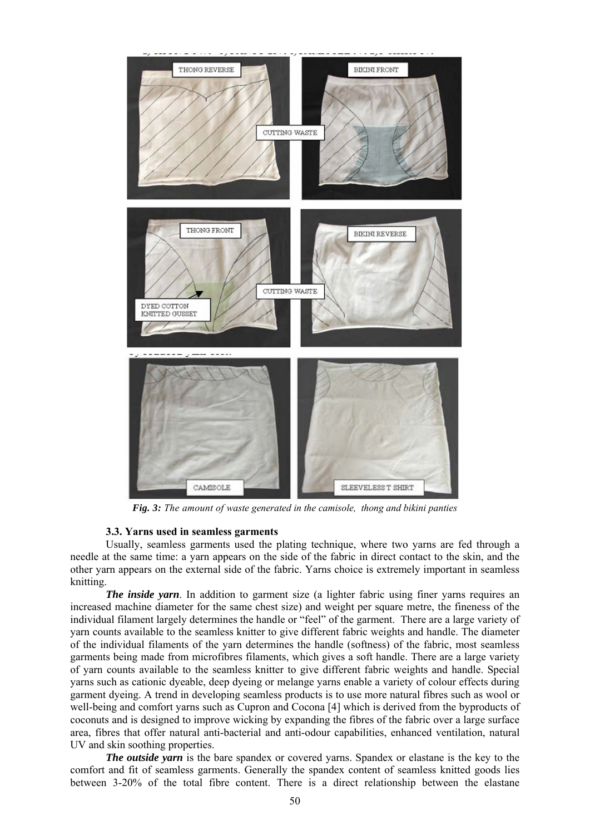

*Fig. 3: The amount of waste generated in the camisole, thong and bikini panties*

#### **3.3. Yarns used in seamless garments**

Usually, seamless garments used the plating technique, where two yarns are fed through a needle at the same time: a yarn appears on the side of the fabric in direct contact to the skin, and the other yarn appears on the external side of the fabric. Yarns choice is extremely important in seamless knitting.

*The inside yarn*. In addition to garment size (a lighter fabric using finer yarns requires an increased machine diameter for the same chest size) and weight per square metre, the fineness of the individual filament largely determines the handle or "feel" of the garment. There are a large variety of yarn counts available to the seamless knitter to give different fabric weights and handle. The diameter of the individual filaments of the yarn determines the handle (softness) of the fabric, most seamless garments being made from microfibres filaments, which gives a soft handle. There are a large variety of yarn counts available to the seamless knitter to give different fabric weights and handle. Special yarns such as cationic dyeable, deep dyeing or melange yarns enable a variety of colour effects during garment dyeing. A trend in developing seamless products is to use more natural fibres such as wool or well-being and comfort yarns such as Cupron and Cocona [4] which is derived from the byproducts of coconuts and is designed to improve wicking by expanding the fibres of the fabric over a large surface area, fibres that offer natural anti-bacterial and anti-odour capabilities, enhanced ventilation, natural UV and skin soothing properties.

*The outside yarn* is the bare spandex or covered yarns. Spandex or elastane is the key to the comfort and fit of seamless garments. Generally the spandex content of seamless knitted goods lies between 3-20% of the total fibre content. There is a direct relationship between the elastane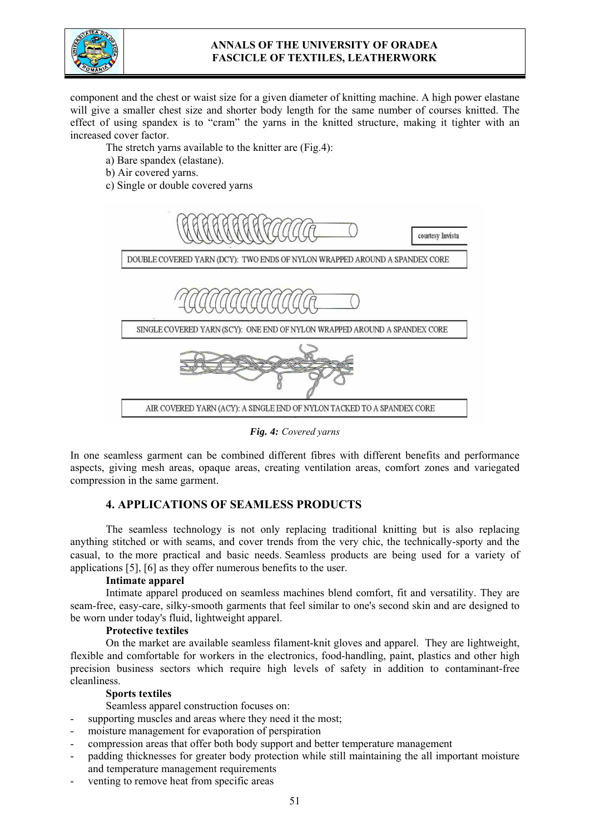

# **ANNALS OF THE UNIVERSITY OF ORADEA FASCICLE OF TEXTILES, LEATHERWORK**

component and the chest or waist size for a given diameter of knitting machine. A high power elastane will give a smaller chest size and shorter body length for the same number of courses knitted. The effect of using spandex is to "cram" the yarns in the knitted structure, making it tighter with an increased cover factor.

The stretch yarns available to the knitter are (Fig.4):

- a) Bare spandex (elastane).
- b) Air covered yarns.
- c) Single or double covered yarns



*Fig. 4: Covered yarns*

In one seamless garment can be combined different fibres with different benefits and performance aspects, giving mesh areas, opaque areas, creating ventilation areas, comfort zones and variegated compression in the same garment.

# **4. APPLICATIONS OF SEAMLESS PRODUCTS**

The seamless technology is not only replacing traditional knitting but is also replacing anything stitched or with seams, and cover trends from the very chic, the technically-sporty and the casual, to the more practical and basic needs. Seamless products are being used for a variety of applications [5], [6] as they offer numerous benefits to the user.

# **Intimate apparel**

Intimate apparel produced on seamless machines blend comfort, fit and versatility. They are seam-free, easy-care, silky-smooth garments that feel similar to one's second skin and are designed to be worn under today's fluid, lightweight apparel.

### **Protective textiles**

On the market are available seamless filament-knit gloves and apparel. They are lightweight, flexible and comfortable for workers in the electronics, food-handling, paint, plastics and other high precision business sectors which require high levels of safety in addition to contaminant-free cleanliness.

### **Sports textiles**

Seamless apparel construction focuses on:

- supporting muscles and areas where they need it the most;
- moisture management for evaporation of perspiration
- compression areas that offer both body support and better temperature management
- padding thicknesses for greater body protection while still maintaining the all important moisture and temperature management requirements
- venting to remove heat from specific areas